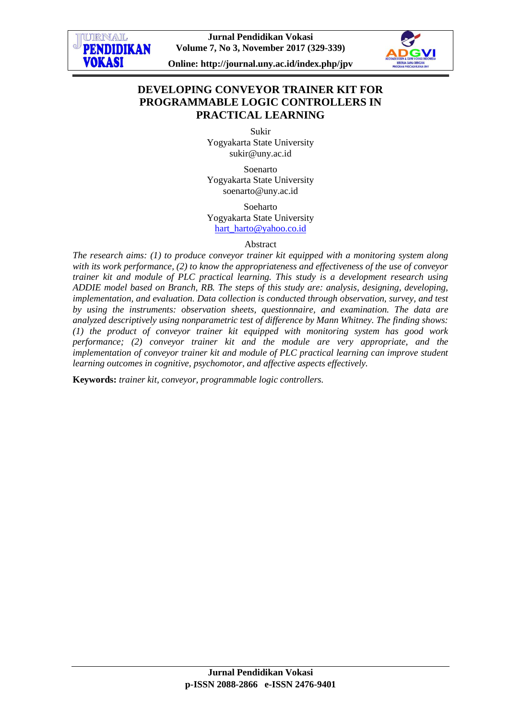

**Online: http://journal.uny.ac.id/index.php/jpv**



# **DEVELOPING CONVEYOR TRAINER KIT FOR PROGRAMMABLE LOGIC CONTROLLERS IN PRACTICAL LEARNING**

Sukir Yogyakarta State University [sukir@uny.ac.id](mailto:sukir@uny.ac.id)

Soenarto Yogyakarta State University [soenarto@uny.ac.id](mailto:soenarto@uny.ac.id)

Soeharto Yogyakarta State University [hart\\_harto@yahoo.co.id](mailto:hart_harto@yahoo.co.id)

#### Abstract

*The research aims: (1) to produce conveyor trainer kit equipped with a monitoring system along with its work performance, (2) to know the appropriateness and effectiveness of the use of conveyor trainer kit and module of PLC practical learning. This study is a development research using ADDIE model based on Branch, RB. The steps of this study are: analysis, designing, developing, implementation, and evaluation. Data collection is conducted through observation, survey, and test by using the instruments: observation sheets, questionnaire, and examination. The data are analyzed descriptively using nonparametric test of difference by Mann Whitney. The finding shows: (1) the product of conveyor trainer kit equipped with monitoring system has good work performance; (2) conveyor trainer kit and the module are very appropriate, and the implementation of conveyor trainer kit and module of PLC practical learning can improve student learning outcomes in cognitive, psychomotor, and affective aspects effectively.* 

**Keywords:** *trainer kit, conveyor, programmable logic controllers.*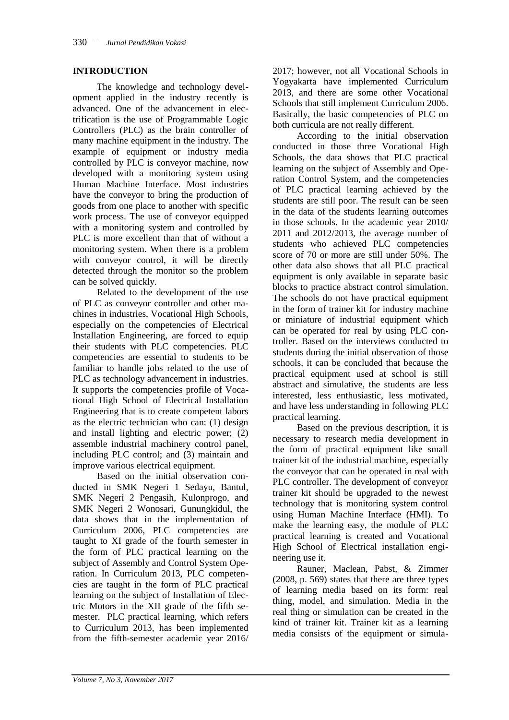#### **INTRODUCTION**

The knowledge and technology development applied in the industry recently is advanced. One of the advancement in electrification is the use of Programmable Logic Controllers (PLC) as the brain controller of many machine equipment in the industry. The example of equipment or industry media controlled by PLC is conveyor machine, now developed with a monitoring system using Human Machine Interface. Most industries have the conveyor to bring the production of goods from one place to another with specific work process. The use of conveyor equipped with a monitoring system and controlled by PLC is more excellent than that of without a monitoring system. When there is a problem with conveyor control, it will be directly detected through the monitor so the problem can be solved quickly.

Related to the development of the use of PLC as conveyor controller and other machines in industries, Vocational High Schools, especially on the competencies of Electrical Installation Engineering, are forced to equip their students with PLC competencies. PLC competencies are essential to students to be familiar to handle jobs related to the use of PLC as technology advancement in industries. It supports the competencies profile of Vocational High School of Electrical Installation Engineering that is to create competent labors as the electric technician who can: (1) design and install lighting and electric power; (2) assemble industrial machinery control panel, including PLC control; and (3) maintain and improve various electrical equipment.

Based on the initial observation conducted in SMK Negeri 1 Sedayu, Bantul, SMK Negeri 2 Pengasih, Kulonprogo, and SMK Negeri 2 Wonosari, Gunungkidul, the data shows that in the implementation of Curriculum 2006, PLC competencies are taught to XI grade of the fourth semester in the form of PLC practical learning on the subject of Assembly and Control System Operation. In Curriculum 2013, PLC competencies are taught in the form of PLC practical learning on the subject of Installation of Electric Motors in the XII grade of the fifth semester. PLC practical learning, which refers to Curriculum 2013, has been implemented from the fifth-semester academic year 2016/

2017; however, not all Vocational Schools in Yogyakarta have implemented Curriculum 2013, and there are some other Vocational Schools that still implement Curriculum 2006. Basically, the basic competencies of PLC on both curricula are not really different.

According to the initial observation conducted in those three Vocational High Schools, the data shows that PLC practical learning on the subject of Assembly and Operation Control System, and the competencies of PLC practical learning achieved by the students are still poor. The result can be seen in the data of the students learning outcomes in those schools. In the academic year 2010/ 2011 and 2012/2013, the average number of students who achieved PLC competencies score of 70 or more are still under 50%. The other data also shows that all PLC practical equipment is only available in separate basic blocks to practice abstract control simulation. The schools do not have practical equipment in the form of trainer kit for industry machine or miniature of industrial equipment which can be operated for real by using PLC controller. Based on the interviews conducted to students during the initial observation of those schools, it can be concluded that because the practical equipment used at school is still abstract and simulative, the students are less interested, less enthusiastic, less motivated, and have less understanding in following PLC practical learning.

Based on the previous description, it is necessary to research media development in the form of practical equipment like small trainer kit of the industrial machine, especially the conveyor that can be operated in real with PLC controller. The development of conveyor trainer kit should be upgraded to the newest technology that is monitoring system control using Human Machine Interface (HMI). To make the learning easy, the module of PLC practical learning is created and Vocational High School of Electrical installation engineering use it.

Rauner, Maclean, Pabst, & Zimmer (2008, p. 569) states that there are three types of learning media based on its form: real thing, model, and simulation. Media in the real thing or simulation can be created in the kind of trainer kit. Trainer kit as a learning media consists of the equipment or simula-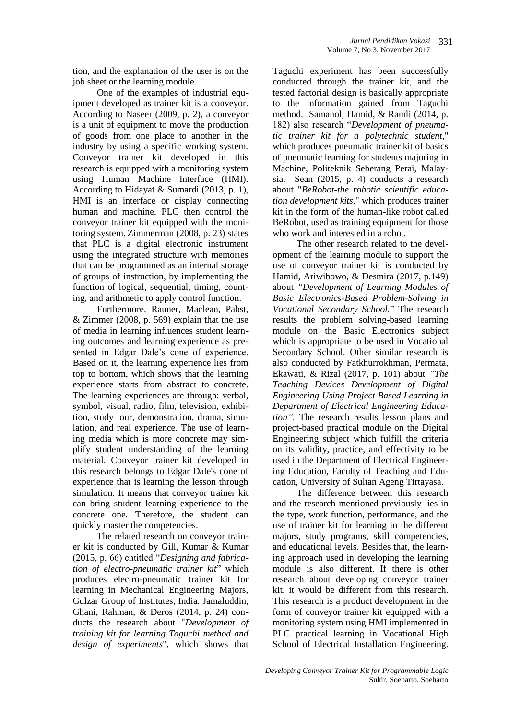tion, and the explanation of the user is on the job sheet or the learning module.

One of the examples of industrial equipment developed as trainer kit is a conveyor. According to Naseer (2009, p. 2), a conveyor is a unit of equipment to move the production of goods from one place to another in the industry by using a specific working system. Conveyor trainer kit developed in this research is equipped with a monitoring system using Human Machine Interface (HMI). According to Hidayat & Sumardi (2013, p. 1), HMI is an interface or display connecting human and machine. PLC then control the conveyor trainer kit equipped with the monitoring system. Zimmerman (2008, p. 23) states that PLC is a digital electronic instrument using the integrated structure with memories that can be programmed as an internal storage of groups of instruction, by implementing the function of logical, sequential, timing, counting, and arithmetic to apply control function.

Furthermore, Rauner, Maclean, Pabst, & Zimmer (2008, p. 569) explain that the use of media in learning influences student learning outcomes and learning experience as presented in Edgar Dale's cone of experience. Based on it, the learning experience lies from top to bottom, which shows that the learning experience starts from abstract to concrete. The learning experiences are through: verbal, symbol, visual, radio, film, television, exhibition, study tour, demonstration, drama, simulation, and real experience. The use of learning media which is more concrete may simplify student understanding of the learning material. Conveyor trainer kit developed in this research belongs to Edgar Dale's cone of experience that is learning the lesson through simulation. It means that conveyor trainer kit can bring student learning experience to the concrete one. Therefore, the student can quickly master the competencies.

The related research on conveyor trainer kit is conducted by Gill, Kumar & Kumar (2015, p. 66) entitled "*Designing and fabrication of electro-pneumatic trainer kit*" which produces electro-pneumatic trainer kit for learning in Mechanical Engineering Majors, Gulzar Group of Institutes, India. Jamaluddin, Ghani, Rahman, & Deros (2014, p. 24) conducts the research about "*Development of training kit for learning Taguchi method and design of experiments*", which shows that

Taguchi experiment has been successfully conducted through the trainer kit, and the tested factorial design is basically appropriate to the information gained from Taguchi method. Samanol, Hamid, & Ramli (2014, p. 182) also research "*Development of pneumatic trainer kit for a polytechnic student*," which produces pneumatic trainer kit of basics of pneumatic learning for students majoring in Machine, Politeknik Seberang Perai, Malaysia. Sean (2015, p. 4) conducts a research about "*BeRobot-the robotic scientific education development kits*," which produces trainer kit in the form of the human-like robot called BeRobot, used as training equipment for those who work and interested in a robot.

The other research related to the development of the learning module to support the use of conveyor trainer kit is conducted by Hamid, Ariwibowo, & Desmira (2017, p.149) about *"Development of Learning Modules of Basic Electronics-Based Problem-Solving in Vocational Secondary School.*" The research results the problem solving-based learning module on the Basic Electronics subject which is appropriate to be used in Vocational Secondary School. Other similar research is also conducted by Fatkhurrokhman, Permata, Ekawati, & Rizal (2017, p. 101) about *"The Teaching Devices Development of Digital Engineering Using Project Based Learning in Department of Electrical Engineering Education".* The research results lesson plans and project-based practical module on the Digital Engineering subject which fulfill the criteria on its validity, practice, and effectivity to be used in the Department of Electrical Engineering Education, Faculty of Teaching and Education, University of Sultan Ageng Tirtayasa.

The difference between this research and the research mentioned previously lies in the type, work function, performance, and the use of trainer kit for learning in the different majors, study programs, skill competencies, and educational levels. Besides that, the learning approach used in developing the learning module is also different. If there is other research about developing conveyor trainer kit, it would be different from this research. This research is a product development in the form of conveyor trainer kit equipped with a monitoring system using HMI implemented in PLC practical learning in Vocational High School of Electrical Installation Engineering.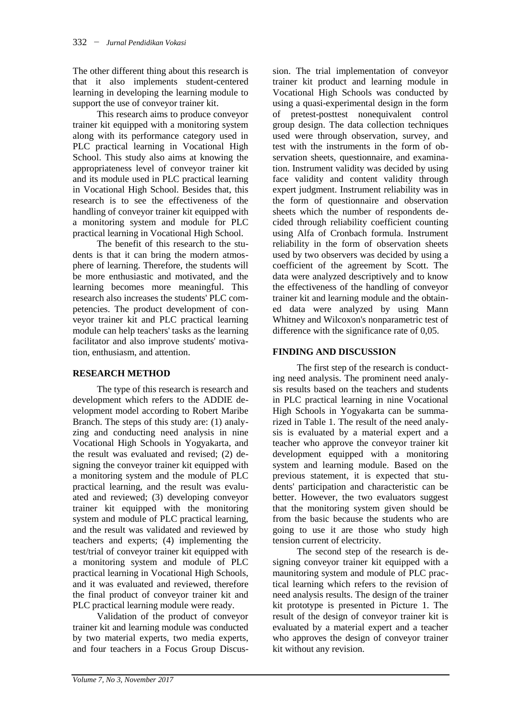The other different thing about this research is that it also implements student-centered learning in developing the learning module to support the use of conveyor trainer kit.

This research aims to produce conveyor trainer kit equipped with a monitoring system along with its performance category used in PLC practical learning in Vocational High School. This study also aims at knowing the appropriateness level of conveyor trainer kit and its module used in PLC practical learning in Vocational High School. Besides that, this research is to see the effectiveness of the handling of conveyor trainer kit equipped with a monitoring system and module for PLC practical learning in Vocational High School.

The benefit of this research to the students is that it can bring the modern atmosphere of learning. Therefore, the students will be more enthusiastic and motivated, and the learning becomes more meaningful. This research also increases the students' PLC competencies. The product development of conveyor trainer kit and PLC practical learning module can help teachers' tasks as the learning facilitator and also improve students' motivation, enthusiasm, and attention.

### **RESEARCH METHOD**

The type of this research is research and development which refers to the ADDIE development model according to Robert Maribe Branch. The steps of this study are: (1) analyzing and conducting need analysis in nine Vocational High Schools in Yogyakarta, and the result was evaluated and revised; (2) designing the conveyor trainer kit equipped with a monitoring system and the module of PLC practical learning, and the result was evaluated and reviewed; (3) developing conveyor trainer kit equipped with the monitoring system and module of PLC practical learning, and the result was validated and reviewed by teachers and experts; (4) implementing the test/trial of conveyor trainer kit equipped with a monitoring system and module of PLC practical learning in Vocational High Schools, and it was evaluated and reviewed, therefore the final product of conveyor trainer kit and PLC practical learning module were ready.

Validation of the product of conveyor trainer kit and learning module was conducted by two material experts, two media experts, and four teachers in a Focus Group Discussion. The trial implementation of conveyor trainer kit product and learning module in Vocational High Schools was conducted by using a quasi-experimental design in the form of pretest-posttest nonequivalent control group design. The data collection techniques used were through observation, survey, and test with the instruments in the form of observation sheets, questionnaire, and examination. Instrument validity was decided by using face validity and content validity through expert judgment. Instrument reliability was in the form of questionnaire and observation sheets which the number of respondents decided through reliability coefficient counting using Alfa of Cronbach formula. Instrument reliability in the form of observation sheets used by two observers was decided by using a coefficient of the agreement by Scott. The data were analyzed descriptively and to know the effectiveness of the handling of conveyor trainer kit and learning module and the obtained data were analyzed by using Mann Whitney and Wilcoxon's nonparametric test of difference with the significance rate of 0,05.

## **FINDING AND DISCUSSION**

The first step of the research is conducting need analysis. The prominent need analysis results based on the teachers and students in PLC practical learning in nine Vocational High Schools in Yogyakarta can be summarized in Table 1. The result of the need analysis is evaluated by a material expert and a teacher who approve the conveyor trainer kit development equipped with a monitoring system and learning module. Based on the previous statement, it is expected that students' participation and characteristic can be better. However, the two evaluators suggest that the monitoring system given should be from the basic because the students who are going to use it are those who study high tension current of electricity.

The second step of the research is designing conveyor trainer kit equipped with a maunitoring system and module of PLC practical learning which refers to the revision of need analysis results. The design of the trainer kit prototype is presented in Picture 1. The result of the design of conveyor trainer kit is evaluated by a material expert and a teacher who approves the design of conveyor trainer kit without any revision.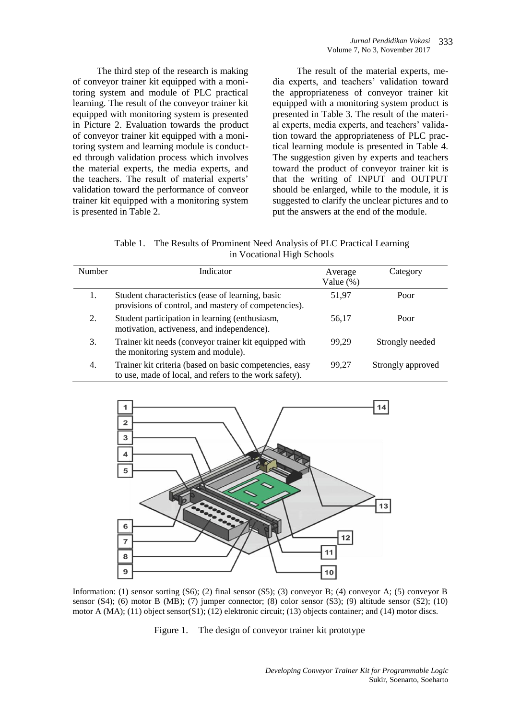The third step of the research is making of conveyor trainer kit equipped with a monitoring system and module of PLC practical learning. The result of the conveyor trainer kit equipped with monitoring system is presented in Picture 2. Evaluation towards the product of conveyor trainer kit equipped with a monitoring system and learning module is conducted through validation process which involves the material experts, the media experts, and the teachers. The result of material experts' validation toward the performance of conveor trainer kit equipped with a monitoring system is presented in Table 2.

The result of the material experts, media experts, and teachers' validation toward the appropriateness of conveyor trainer kit equipped with a monitoring system product is presented in Table 3. The result of the material experts, media experts, and teachers' validation toward the appropriateness of PLC practical learning module is presented in Table 4. The suggestion given by experts and teachers toward the product of conveyor trainer kit is that the writing of INPUT and OUTPUT should be enlarged, while to the module, it is suggested to clarify the unclear pictures and to put the answers at the end of the module.

Table 1. The Results of Prominent Need Analysis of PLC Practical Learning in Vocational High Schools

| <b>Number</b> | Indicator                                                                                                         | Average<br>Value (%) | Category          |
|---------------|-------------------------------------------------------------------------------------------------------------------|----------------------|-------------------|
|               | Student characteristics (ease of learning, basic<br>provisions of control, and mastery of competencies).          | 51,97                | Poor              |
| 2.            | Student participation in learning (enthusiasm,<br>motivation, activeness, and independence).                      | 56,17                | Poor              |
| 3.            | Trainer kit needs (conveyor trainer kit equipped with<br>the monitoring system and module).                       | 99.29                | Strongly needed   |
| 4.            | Trainer kit criteria (based on basic competencies, easy<br>to use, made of local, and refers to the work safety). | 99.27                | Strongly approved |



Information: (1) sensor sorting (S6); (2) final sensor (S5); (3) conveyor B; (4) conveyor A; (5) conveyor B sensor  $(S4)$ ; (6) motor B (MB); (7) jumper connector; (8) color sensor  $(S3)$ ; (9) altitude sensor  $(S2)$ ; (10) motor A (MA); (11) object sensor(S1); (12) elektronic circuit; (13) objects container; and (14) motor discs.

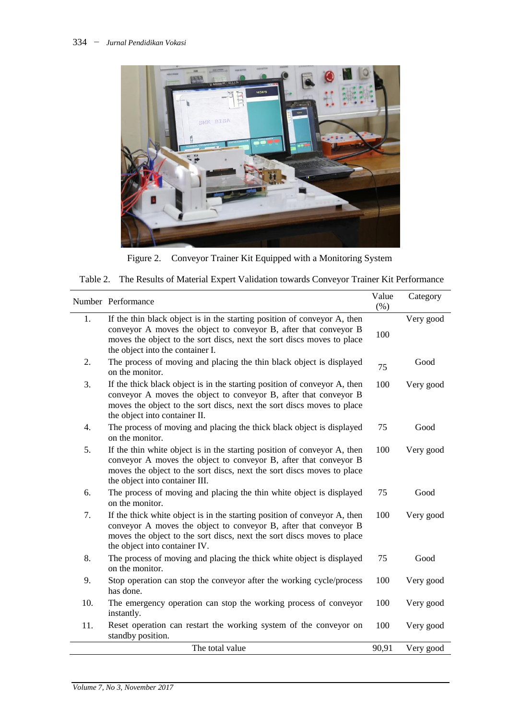

Figure 2. Conveyor Trainer Kit Equipped with a Monitoring System

| Table 2. The Results of Material Expert Validation towards Conveyor Trainer Kit Performance |  |  |
|---------------------------------------------------------------------------------------------|--|--|
|                                                                                             |  |  |

|                  | Number Performance                                                                                                                                                                                                                                         | Value<br>$(\% )$ | Category  |
|------------------|------------------------------------------------------------------------------------------------------------------------------------------------------------------------------------------------------------------------------------------------------------|------------------|-----------|
| 1.               | If the thin black object is in the starting position of conveyor A, then<br>conveyor A moves the object to conveyor B, after that conveyor B<br>moves the object to the sort discs, next the sort discs moves to place<br>the object into the container I. | 100              | Very good |
| 2.               | The process of moving and placing the thin black object is displayed<br>on the monitor.                                                                                                                                                                    | 75               | Good      |
| 3.               | If the thick black object is in the starting position of conveyor A, then<br>conveyor A moves the object to conveyor B, after that conveyor B<br>moves the object to the sort discs, next the sort discs moves to place<br>the object into container II.   | 100              | Very good |
| $\overline{4}$ . | The process of moving and placing the thick black object is displayed<br>on the monitor.                                                                                                                                                                   | 75               | Good      |
| 5.               | If the thin white object is in the starting position of conveyor A, then<br>conveyor A moves the object to conveyor B, after that conveyor B<br>moves the object to the sort discs, next the sort discs moves to place<br>the object into container III.   | 100              | Very good |
| 6.               | The process of moving and placing the thin white object is displayed<br>on the monitor.                                                                                                                                                                    | 75               | Good      |
| 7.               | If the thick white object is in the starting position of conveyor A, then<br>conveyor A moves the object to conveyor B, after that conveyor B<br>moves the object to the sort discs, next the sort discs moves to place<br>the object into container IV.   | 100              | Very good |
| 8.               | The process of moving and placing the thick white object is displayed<br>on the monitor.                                                                                                                                                                   | 75               | Good      |
| 9.               | Stop operation can stop the conveyor after the working cycle/process<br>has done.                                                                                                                                                                          | 100              | Very good |
| 10.              | The emergency operation can stop the working process of conveyor<br>instantly.                                                                                                                                                                             | 100              | Very good |
| 11.              | Reset operation can restart the working system of the conveyor on<br>standby position.                                                                                                                                                                     | 100              | Very good |
|                  | The total value                                                                                                                                                                                                                                            | 90,91            | Very good |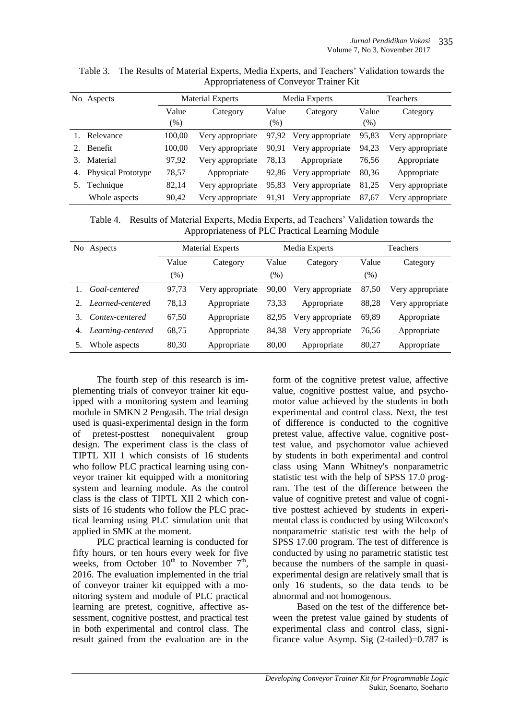|    | No Aspects                | <b>Material Experts</b> |                  | Media Experts |                        | Teachers |                  |
|----|---------------------------|-------------------------|------------------|---------------|------------------------|----------|------------------|
|    |                           | Value                   | Category         | Value         | Category               | Value    | Category         |
|    |                           | (% )                    |                  | (% )          |                        | $(\% )$  |                  |
|    | 1. Relevance              | 100,00                  | Very appropriate |               | 97,92 Very appropriate | 95,83    | Very appropriate |
| 2. | Benefit                   | 100,00                  | Very appropriate | 90,91         | Very appropriate       | 94,23    | Very appropriate |
|    | Material                  | 97,92                   | Very appropriate | 78.13         | Appropriate            | 76,56    | Appropriate      |
| 4. | <b>Physical Prototype</b> | 78,57                   | Appropriate      |               | 92,86 Very appropriate | 80,36    | Appropriate      |
|    | Technique                 | 82,14                   | Very appropriate |               | 95,83 Very appropriate | 81,25    | Very appropriate |
|    | Whole aspects             | 90.42                   | Very appropriate |               | 91,91 Very appropriate | 87,67    | Very appropriate |

Table 3. The Results of Material Experts, Media Experts, and Teachers' Validation towards the Appropriateness of Conveyor Trainer Kit

Table 4. Results of Material Experts, Media Experts, ad Teachers' Validation towards the Appropriateness of PLC Practical Learning Module

| No | Aspects           | <b>Material Experts</b> |                  | Media Experts |                  | Teachers |                  |
|----|-------------------|-------------------------|------------------|---------------|------------------|----------|------------------|
|    |                   | Value                   | Category         | Value         | Category         | Value    | Category         |
|    |                   | (% )                    |                  | (% )          |                  | (% )     |                  |
|    | Goal-centered     | 97,73                   | Very appropriate | 90,00         | Very appropriate | 87,50    | Very appropriate |
|    | Learned-centered  | 78,13                   | Appropriate      | 73,33         | Appropriate      | 88,28    | Very appropriate |
| 3. | Contex-centered   | 67,50                   | Appropriate      | 82,95         | Very appropriate | 69.89    | Appropriate      |
| 4. | Learning-centered | 68,75                   | Appropriate      | 84,38         | Very appropriate | 76,56    | Appropriate      |
|    | Whole aspects     | 80,30                   | Appropriate      | 80.00         | Appropriate      | 80,27    | Appropriate      |

The fourth step of this research is implementing trials of conveyor trainer kit equipped with a monitoring system and learning module in SMKN 2 Pengasih. The trial design used is quasi-experimental design in the form of pretest-posttest nonequivalent group design. The experiment class is the class of TIPTL XII 1 which consists of 16 students who follow PLC practical learning using conveyor trainer kit equipped with a monitoring system and learning module. As the control class is the class of TIPTL XII 2 which consists of 16 students who follow the PLC practical learning using PLC simulation unit that applied in SMK at the moment.

PLC practical learning is conducted for fifty hours, or ten hours every week for five weeks, from October  $10^{th}$  to November  $7^{th}$ , 2016. The evaluation implemented in the trial of conveyor trainer kit equipped with a monitoring system and module of PLC practical learning are pretest, cognitive, affective assessment, cognitive posttest, and practical test in both experimental and control class. The result gained from the evaluation are in the

form of the cognitive pretest value, affective value, cognitive posttest value, and psychomotor value achieved by the students in both experimental and control class. Next, the test of difference is conducted to the cognitive pretest value, affective value, cognitive posttest value, and psychomotor value achieved by students in both experimental and control class using Mann Whitney's nonparametric statistic test with the help of SPSS 17.0 program. The test of the difference between the value of cognitive pretest and value of cognitive posttest achieved by students in experimental class is conducted by using Wilcoxon's nonparametric statistic test with the help of SPSS 17.00 program. The test of difference is conducted by using no parametric statistic test because the numbers of the sample in quasiexperimental design are relatively small that is only 16 students, so the data tends to be abnormal and not homogenous.

Based on the test of the difference between the pretest value gained by students of experimental class and control class, significance value Asymp. Sig (2-tailed)=0.787 is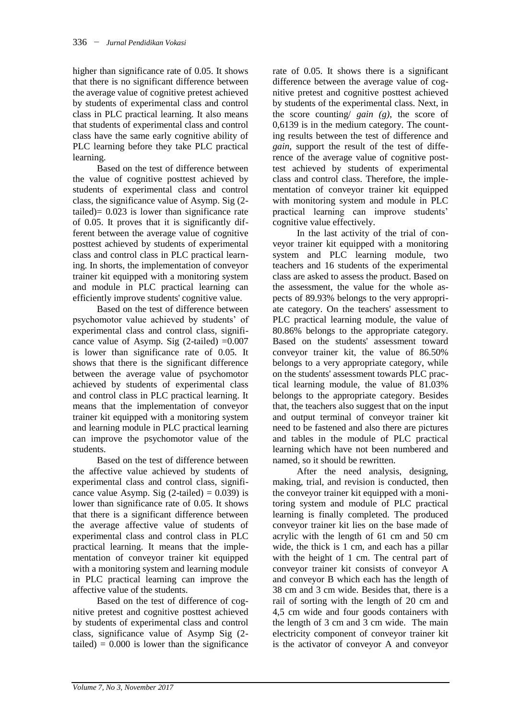higher than significance rate of 0.05. It shows that there is no significant difference between the average value of cognitive pretest achieved by students of experimental class and control class in PLC practical learning. It also means that students of experimental class and control class have the same early cognitive ability of PLC learning before they take PLC practical learning.

Based on the test of difference between the value of cognitive posttest achieved by students of experimental class and control class, the significance value of Asymp. Sig (2 tailed)= 0.023 is lower than significance rate of 0.05. It proves that it is significantly different between the average value of cognitive posttest achieved by students of experimental class and control class in PLC practical learning. In shorts, the implementation of conveyor trainer kit equipped with a monitoring system and module in PLC practical learning can efficiently improve students' cognitive value.

Based on the test of difference between psychomotor value achieved by students' of experimental class and control class, significance value of Asymp. Sig  $(2$ -tailed) =0.007 is lower than significance rate of 0.05. It shows that there is the significant difference between the average value of psychomotor achieved by students of experimental class and control class in PLC practical learning. It means that the implementation of conveyor trainer kit equipped with a monitoring system and learning module in PLC practical learning can improve the psychomotor value of the students.

Based on the test of difference between the affective value achieved by students of experimental class and control class, significance value Asymp. Sig  $(2$ -tailed) = 0.039) is lower than significance rate of 0.05. It shows that there is a significant difference between the average affective value of students of experimental class and control class in PLC practical learning. It means that the implementation of conveyor trainer kit equipped with a monitoring system and learning module in PLC practical learning can improve the affective value of the students.

Based on the test of difference of cognitive pretest and cognitive posttest achieved by students of experimental class and control class, significance value of Asymp Sig (2 tailed)  $= 0.000$  is lower than the significance

rate of 0.05. It shows there is a significant difference between the average value of cognitive pretest and cognitive posttest achieved by students of the experimental class. Next, in the score counting/ *gain (g)*, the score of 0,6139 is in the medium category. The counting results between the test of difference and *gain*, support the result of the test of difference of the average value of cognitive posttest achieved by students of experimental class and control class. Therefore, the implementation of conveyor trainer kit equipped with monitoring system and module in PLC practical learning can improve students' cognitive value effectively.

In the last activity of the trial of conveyor trainer kit equipped with a monitoring system and PLC learning module, two teachers and 16 students of the experimental class are asked to assess the product. Based on the assessment, the value for the whole aspects of 89.93% belongs to the very appropriate category. On the teachers' assessment to PLC practical learning module, the value of 80.86% belongs to the appropriate category. Based on the students' assessment toward conveyor trainer kit, the value of 86.50% belongs to a very appropriate category, while on the students' assessment towards PLC practical learning module, the value of 81.03% belongs to the appropriate category. Besides that, the teachers also suggest that on the input and output terminal of conveyor trainer kit need to be fastened and also there are pictures and tables in the module of PLC practical learning which have not been numbered and named, so it should be rewritten.

After the need analysis, designing, making, trial, and revision is conducted, then the conveyor trainer kit equipped with a monitoring system and module of PLC practical learning is finally completed. The produced conveyor trainer kit lies on the base made of acrylic with the length of 61 cm and 50 cm wide, the thick is 1 cm, and each has a pillar with the height of 1 cm. The central part of conveyor trainer kit consists of conveyor A and conveyor B which each has the length of 38 cm and 3 cm wide. Besides that, there is a rail of sorting with the length of 20 cm and 4,5 cm wide and four goods containers with the length of 3 cm and 3 cm wide. The main electricity component of conveyor trainer kit is the activator of conveyor A and conveyor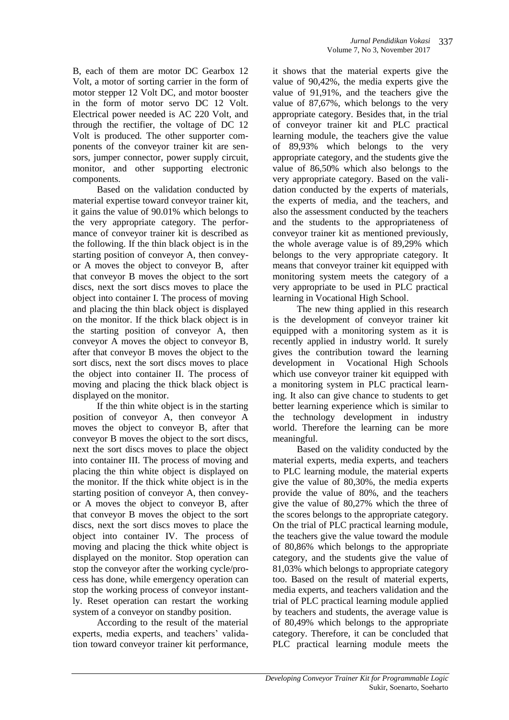B, each of them are motor DC Gearbox 12 Volt, a motor of sorting carrier in the form of motor stepper 12 Volt DC, and motor booster in the form of motor servo DC 12 Volt. Electrical power needed is AC 220 Volt, and through the rectifier, the voltage of DC 12 Volt is produced. The other supporter components of the conveyor trainer kit are sensors, jumper connector, power supply circuit, monitor, and other supporting electronic components.

Based on the validation conducted by material expertise toward conveyor trainer kit, it gains the value of 90.01% which belongs to the very appropriate category. The performance of conveyor trainer kit is described as the following. If the thin black object is in the starting position of conveyor A, then conveyor A moves the object to conveyor B, after that conveyor B moves the object to the sort discs, next the sort discs moves to place the object into container I. The process of moving and placing the thin black object is displayed on the monitor. If the thick black object is in the starting position of conveyor A, then conveyor A moves the object to conveyor B, after that conveyor B moves the object to the sort discs, next the sort discs moves to place the object into container II. The process of moving and placing the thick black object is displayed on the monitor.

If the thin white object is in the starting position of conveyor A, then conveyor A moves the object to conveyor B, after that conveyor B moves the object to the sort discs, next the sort discs moves to place the object into container III. The process of moving and placing the thin white object is displayed on the monitor. If the thick white object is in the starting position of conveyor A, then conveyor A moves the object to conveyor B, after that conveyor B moves the object to the sort discs, next the sort discs moves to place the object into container IV. The process of moving and placing the thick white object is displayed on the monitor. Stop operation can stop the conveyor after the working cycle/process has done, while emergency operation can stop the working process of conveyor instantly. Reset operation can restart the working system of a conveyor on standby position.

According to the result of the material experts, media experts, and teachers' validation toward conveyor trainer kit performance,

it shows that the material experts give the value of 90,42%, the media experts give the value of 91,91%, and the teachers give the value of 87,67%, which belongs to the very appropriate category. Besides that, in the trial of conveyor trainer kit and PLC practical learning module, the teachers give the value of 89,93% which belongs to the very appropriate category, and the students give the value of 86,50% which also belongs to the very appropriate category. Based on the validation conducted by the experts of materials, the experts of media, and the teachers, and also the assessment conducted by the teachers and the students to the appropriateness of conveyor trainer kit as mentioned previously, the whole average value is of 89,29% which belongs to the very appropriate category. It means that conveyor trainer kit equipped with monitoring system meets the category of a very appropriate to be used in PLC practical learning in Vocational High School.

The new thing applied in this research is the development of conveyor trainer kit equipped with a monitoring system as it is recently applied in industry world. It surely gives the contribution toward the learning development in Vocational High Schools which use conveyor trainer kit equipped with a monitoring system in PLC practical learning. It also can give chance to students to get better learning experience which is similar to the technology development in industry world. Therefore the learning can be more meaningful.

Based on the validity conducted by the material experts, media experts, and teachers to PLC learning module, the material experts give the value of 80,30%, the media experts provide the value of 80%, and the teachers give the value of 80,27% which the three of the scores belongs to the appropriate category. On the trial of PLC practical learning module, the teachers give the value toward the module of 80,86% which belongs to the appropriate category, and the students give the value of 81,03% which belongs to appropriate category too. Based on the result of material experts, media experts, and teachers validation and the trial of PLC practical learning module applied by teachers and students, the average value is of 80,49% which belongs to the appropriate category. Therefore, it can be concluded that PLC practical learning module meets the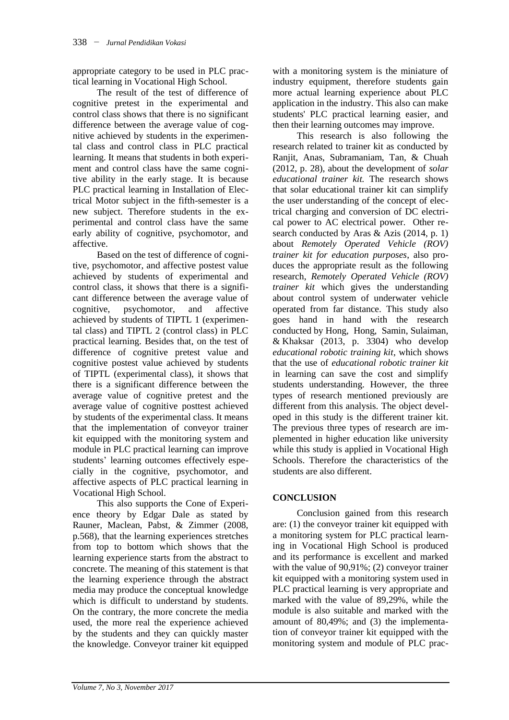appropriate category to be used in PLC practical learning in Vocational High School.

The result of the test of difference of cognitive pretest in the experimental and control class shows that there is no significant difference between the average value of cognitive achieved by students in the experimental class and control class in PLC practical learning. It means that students in both experiment and control class have the same cognitive ability in the early stage. It is because PLC practical learning in Installation of Electrical Motor subject in the fifth-semester is a new subject. Therefore students in the experimental and control class have the same early ability of cognitive, psychomotor, and affective.

Based on the test of difference of cognitive, psychomotor, and affective postest value achieved by students of experimental and control class, it shows that there is a significant difference between the average value of cognitive, psychomotor, and affective achieved by students of TIPTL 1 (experimental class) and TIPTL 2 (control class) in PLC practical learning. Besides that, on the test of difference of cognitive pretest value and cognitive postest value achieved by students of TIPTL (experimental class), it shows that there is a significant difference between the average value of cognitive pretest and the average value of cognitive posttest achieved by students of the experimental class. It means that the implementation of conveyor trainer kit equipped with the monitoring system and module in PLC practical learning can improve students' learning outcomes effectively especially in the cognitive, psychomotor, and affective aspects of PLC practical learning in Vocational High School.

This also supports the Cone of Experience theory by Edgar Dale as stated by Rauner, Maclean, Pabst, & Zimmer (2008, p.568), that the learning experiences stretches from top to bottom which shows that the learning experience starts from the abstract to concrete. The meaning of this statement is that the learning experience through the abstract media may produce the conceptual knowledge which is difficult to understand by students. On the contrary, the more concrete the media used, the more real the experience achieved by the students and they can quickly master the knowledge. Conveyor trainer kit equipped with a monitoring system is the miniature of industry equipment, therefore students gain more actual learning experience about PLC application in the industry. This also can make students' PLC practical learning easier, and then their learning outcomes may improve.

This research is also following the research related to trainer kit as conducted by Ranjit, Anas, Subramaniam, Tan, & Chuah (2012, p. 28), about the development of *solar educational trainer kit.* The research shows that solar educational trainer kit can simplify the user understanding of the concept of electrical charging and conversion of DC electrical power to AC electrical power. Other research conducted by Aras & Azis (2014, p. 1) about *Remotely Operated Vehicle (ROV) trainer kit for education purposes*, also produces the appropriate result as the following research, *Remotely Operated Vehicle (ROV) trainer kit* which gives the understanding about control system of underwater vehicle operated from far distance. This study also goes hand in hand with the research conducted by Hong, Hong, Samin, Sulaiman, & Khaksar (2013, p. 3304) who develop *educational robotic training kit*, which shows that the use of *educational robotic trainer kit* in learning can save the cost and simplify students understanding. However, the three types of research mentioned previously are different from this analysis. The object developed in this study is the different trainer kit. The previous three types of research are implemented in higher education like university while this study is applied in Vocational High Schools. Therefore the characteristics of the students are also different.

## **CONCLUSION**

Conclusion gained from this research are: (1) the conveyor trainer kit equipped with a monitoring system for PLC practical learning in Vocational High School is produced and its performance is excellent and marked with the value of 90,91%; (2) conveyor trainer kit equipped with a monitoring system used in PLC practical learning is very appropriate and marked with the value of 89,29%, while the module is also suitable and marked with the amount of 80,49%; and (3) the implementation of conveyor trainer kit equipped with the monitoring system and module of PLC prac